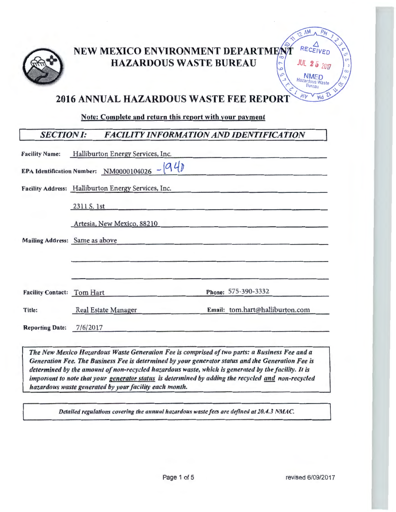

# NEW MEXICO ENVIRONMENT DEPARTMENT HAZARDOUS WASTE BUREAU



# **2016 ANNUAL HAZARDOUS WASTE FEE REPORT**

Note: Complete and return this report with your pavment

# *SECTION/: FACILITY INFORMATION AND IDENTIFICATION*

|                                   | Facility Name: Halliburton Energy Services, Inc.                                              |                                 |
|-----------------------------------|-----------------------------------------------------------------------------------------------|---------------------------------|
|                                   | <b>EPA Identification Number:</b> NM0000104026 - $940$                                        |                                 |
|                                   | Facility Address: Halliburton Energy Services, Inc.                                           |                                 |
|                                   | 2311 S. 1st                                                                                   |                                 |
|                                   | Artesia, New Mexico, 88210                                                                    |                                 |
|                                   | Mailing Address: Same as above                                                                |                                 |
|                                   |                                                                                               |                                 |
| <b>Facility Contact: Tom Hart</b> |                                                                                               | Phone: 575-390-3332             |
| Title:                            | Real Estate Manager                                                                           | Email: tom.hart@halliburton.com |
| <b>Reporting Date:</b>            | 7/6/2017                                                                                      |                                 |
|                                   | The New Mexico Hazardous Waste Concration Fee is comprised of two parts: a Rusiness Fee and a |                                 |

**The New Mexico Hazardous Waste Generation Fee is comprised of two parts: a Business Fee and a** Generation Fee. The Business Fee is determined by your generator status and the Generation Fee is *determined by the amount of non-recycled hazardous waste, which is generated by the facility. It is important to note that your generator status is determined by adding the recycled and non-recycled hazardous waste generated by your facility each month.* 

*Detailed regulations covering the annual hazardous waste fees are defined at 20.4.3 NMAC.*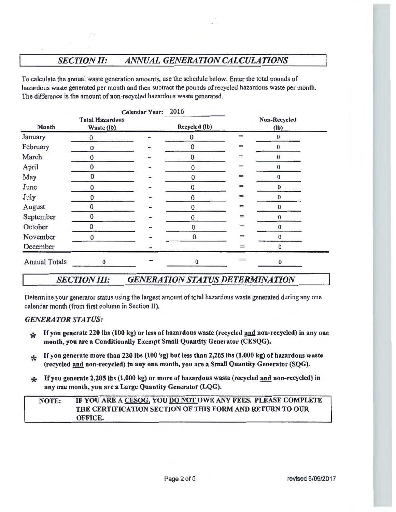# *SECTION II: ANNUAL GENERATION CALCULATIONS*

To calculate the annual waste generation amounts, use the schedule below. Enter the total pounds of hazardous waste generated per month and then subtract the pounds of recycled hazardous waste per month. The difference is the amount of non-recycled hazardous waste generated.

|                      |                                      |  | Calendar Year: 2016 |                |                      |  |
|----------------------|--------------------------------------|--|---------------------|----------------|----------------------|--|
| Month                | <b>Total Hazardous</b><br>Waste (lb) |  | Recycled (Ib)       |                | Non-Recycled<br>(lb) |  |
| January              | 0                                    |  | $\mathbf 0$         | $=$            | 0                    |  |
| February             | 0                                    |  | 0                   | $=$            | $\pmb{0}$            |  |
| March                | 0                                    |  | 0                   | $=$            | $\bf{0}$             |  |
| April                | 0                                    |  | 0                   | $=$            | $\bf{0}$             |  |
| May                  | $\bf{0}$                             |  | 0                   | =              | $\bf{0}$             |  |
| June                 | 0                                    |  | 0                   | $=$            | $\bf{0}$             |  |
| July                 | O                                    |  | 0                   | $=$            | $\bf{0}$             |  |
| August               | 0                                    |  | $\bf{0}$            | $\overline{ }$ | $\pmb{0}$            |  |
| September            | 0                                    |  | $\mathbf 0$         | $=$            | $\bf{0}$             |  |
| October              | 0                                    |  | $\bf{0}$            | $=$            | $\mathbf{0}$         |  |
| November             | $\bf{0}$                             |  | 0                   | $=$            | $\bf{0}$             |  |
| December             |                                      |  |                     | $=$            | $\Omega$             |  |
| <b>Annual Totals</b> | $\bf{0}$                             |  | $\bf{0}$            |                | $\bf{0}$             |  |

## *SECTION Ill: GENERATION STATUS DETERMINATION*

Determine your generator status using the largest amount of total hazardous waste generated during any one calendar month (from first column in Section II).

#### *GENERATOR STATUS:*

- **\*** If you generate 220 lbs (100 kg) or less of hazardous waste (recycled and non-recycled) in any one month, you are a Conditionally Exempt Small Quantity Generator (CESQG).
- \* If you generate more than 220 lbs (100 kg) but less than 2,205 lbs (1,000 kg) of hazardous waste (recycled and non-recycled) in any one month, you are a Small Quantity Generator (SQG).
- \* If you generate 2,205 lbs (1,000 kg) or more of hazardous waste (recycled and non-recycled) in any one month, you are a Large Quantity Generator (LQG).

#### NOTE: IF YOU ARE A CESQG, YOU DO NOT OWE ANY FEES. PLEASE COMPLETE THE CERTIFICATION SECTION OF THIS FORM AND RETURN TO OUR OFFICE.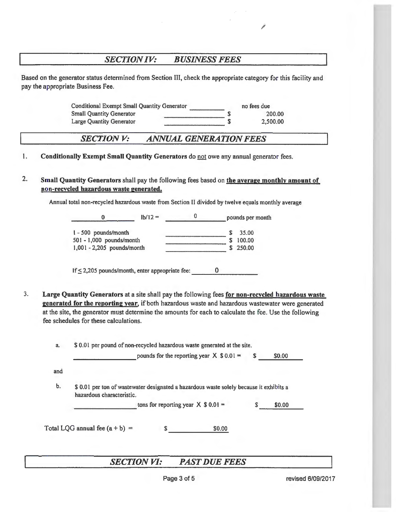### *SECTION IV: BUSINESS FEES*

Based on the generator status detennined from Section III, check the appropriate category for this facility and pay the appropriate Business Fee.

> Conditional Exempt Small Quantity Generator **no fees due** 200.00 2,500.00 Conditional Exempt Small Quantity Generator<br>Small Quantity Generator<br>Large Quantity Generator 5

#### *SECTIONV: ANNUAL GENERATION FEES*

1. Conditionally Exempt Small Quantity Generators do not owe any annual generator fees.

2. Small Quantity Generators shall pay the following fees based on the average monthly amount of non-recycled hazardous waste generated.

Annual total non-recycled hazardous waste from Section II divided by twelve equals monthly average

0  $\vert b/12 =$ I - 500 pounds/month 50 I - 1,000 pounds/month 1,001 - 2,205 pounds/month pounds per month  $$35.00$  $\overline{\hspace{1.5cm}}$  \$ 100.00 \$ 250.00

If  $\leq$  2,205 pounds/month, enter appropriate fee: 0

- 3. Large Quantity Generators at a site shall pay the following fees for non-recycled hazardous waste generated for the reporting vear, if both hazardous waste and hazardous wastewater were generated at the site, the generator must determine the amounts for each to calculate the fee. Use the following fee schedules for these calculations.
	- a. \$ 0.01 per pound of non-recycled hazardous waste generated at the site.

pounds for the reporting year  $X$  \$ 0.01 = \$ \$0.00

and

b. \$ 0.01 per ton of wastewater designated a hazardous waste solely because it exhibits a hazardous characteristic.

tons for reporting year  $X \$ 0.01 =$  \$ \$0.00

Total LQG annual fee  $(a + b) =$  \$0.00

## *SECTION VI: PAST DUE FEES*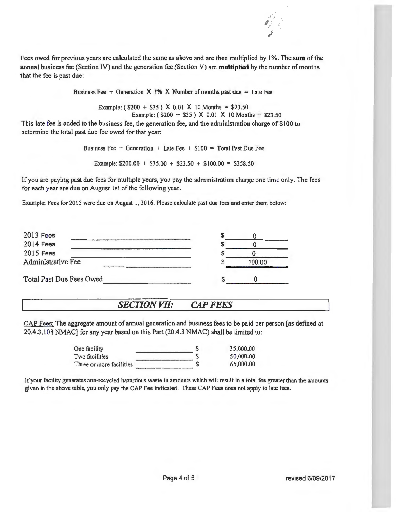

Fees owed for previous years are calculated the same as above and are then multiplied by **1%.** The **sum** of the annual business fee (Section IV) and the generation fee (Section V) are **multiplied** by the number of months that the fee is past due:

Business Fee  $+$  Generation  $\times$  1%  $\times$  Number of months past due = Late Fee

Example: ( $$200 + $35$ ) X 0.01 X 10 Months = \$23.50 Example:  $(S200 + S35)$  X 0.01 X 10 Months = \$23.50

This late fee is added to the business fee, the generation fee, and the administration charge of \$100 to determine the total past due fee owed for that year:

Business Fee + Generation + Late Fee +  $$100 = Total Past Due Fe$ 

Example:  $$200.00 + $35.00 + $23.50 + $100.00 = $358.50$ 

If you are paying past due fees for multiple years, you pay the administration charge one time only. The fees for each year are due on August 1st of the following year.

Example: Fees for 20 15 were due on August I, 2016. Please calculate past due fees and enter them below:

| 100.00 |  |
|--------|--|
|        |  |
|        |  |

## *SECTION VII: CAP FEES*

CAP Fees: The aggregate amount of annual generation and business fees to be paid per person [as defined at 20.4.3.108 NMAC] for any year based on this Part (20.4.3 NMAC) shall be limited to:

| One facility             | S | 35.000.00 |
|--------------------------|---|-----------|
| Two facilities           |   | 50,000.00 |
| Three or more facilities |   | 65,000.00 |
|                          |   |           |

If your facility generates non-recycled hazardous waste in amounts which will result in a total fee greater than the amounts given in the above table, you only pay the CAP Fee indicated. These CAP Fees does not apply to late fees.